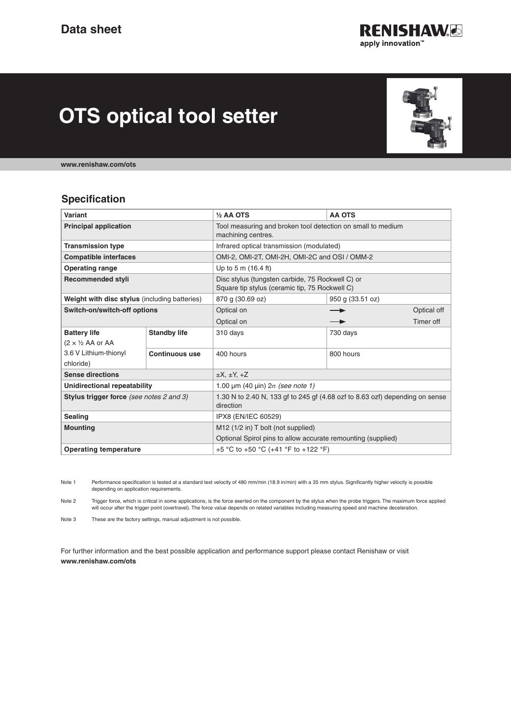

# **OTS optical tool setter**



**www.renishaw.com/ots**

#### **Specification**

| <b>Variant</b>                                |                       | $1/2$ AA OTS                                                                                       | <b>AA OTS</b>    |
|-----------------------------------------------|-----------------------|----------------------------------------------------------------------------------------------------|------------------|
| <b>Principal application</b>                  |                       | Tool measuring and broken tool detection on small to medium<br>machining centres.                  |                  |
| <b>Transmission type</b>                      |                       | Infrared optical transmission (modulated)                                                          |                  |
| <b>Compatible interfaces</b>                  |                       | OMI-2, OMI-2T, OMI-2H, OMI-2C and OSI / OMM-2                                                      |                  |
| <b>Operating range</b>                        |                       | Up to 5 m (16.4 ft)                                                                                |                  |
| <b>Recommended styli</b>                      |                       | Disc stylus (tungsten carbide, 75 Rockwell C) or<br>Square tip stylus (ceramic tip, 75 Rockwell C) |                  |
| Weight with disc stylus (including batteries) |                       | 870 g (30.69 oz)                                                                                   | 950 g (33.51 oz) |
| Switch-on/switch-off options                  |                       | Optical on                                                                                         | Optical off      |
|                                               |                       | Optical on                                                                                         | Timer off        |
| <b>Battery life</b>                           | <b>Standby life</b>   | 310 days                                                                                           | 730 days         |
| $(2 \times \frac{1}{2}$ AA or AA              |                       |                                                                                                    |                  |
| 3.6 V Lithium-thionyl                         | <b>Continuous use</b> | 400 hours                                                                                          | 800 hours        |
| chloride)                                     |                       |                                                                                                    |                  |
| <b>Sense directions</b>                       |                       | $\pm X$ , $\pm Y$ , $\pm Z$                                                                        |                  |
| Unidirectional repeatability                  |                       | 1.00 $\mu$ m (40 $\mu$ in) $2\sigma$ (see note 1)                                                  |                  |
| Stylus trigger force (see notes 2 and 3)      |                       | 1.30 N to 2.40 N, 133 gf to 245 gf (4.68 ozf to 8.63 ozf) depending on sense<br>direction          |                  |
| <b>Sealing</b>                                |                       | IPX8 (EN/IEC 60529)                                                                                |                  |
| <b>Mounting</b>                               |                       | M12 (1/2 in) T bolt (not supplied)                                                                 |                  |
|                                               |                       | Optional Spirol pins to allow accurate remounting (supplied)                                       |                  |
| <b>Operating temperature</b>                  |                       | +5 °C to +50 °C (+41 °F to +122 °F)                                                                |                  |

Note 1 Performance specification is tested at a standard test velocity of 480 mm/min (18.9 in/min) with a 35 mm stylus. Significantly higher velocity is possible depending on application requirements.

Note 2 Trigger force, which is critical in some applications, is the force exerted on the component by the stylus when the probe triggers. The maximum force applied will occur after the trigger point (overtravel). The force value depends on related variables including measuring speed and machine deceleration.

Note 3 These are the factory settings, manual adjustment is not possible.

For further information and the best possible application and performance support please contact Renishaw or visit **www.renishaw.com/ots**